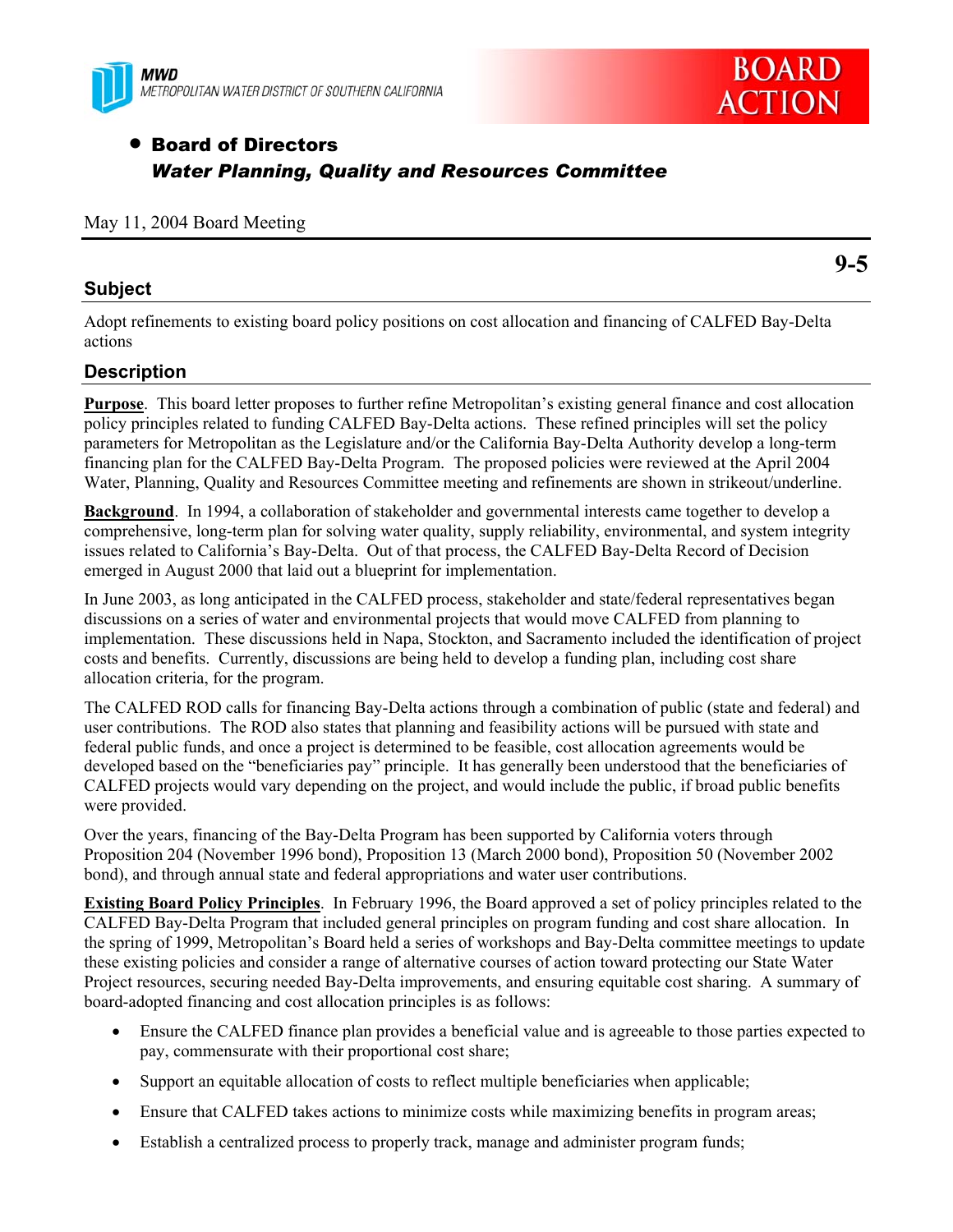



# • Board of Directors *Water Planning, Quality and Resources Committee*

### May 11, 2004 Board Meeting

## **Subject**

**9-5** 

Adopt refinements to existing board policy positions on cost allocation and financing of CALFED Bay-Delta actions

## **Description**

**Purpose**. This board letter proposes to further refine Metropolitan's existing general finance and cost allocation policy principles related to funding CALFED Bay-Delta actions. These refined principles will set the policy parameters for Metropolitan as the Legislature and/or the California Bay-Delta Authority develop a long-term financing plan for the CALFED Bay-Delta Program. The proposed policies were reviewed at the April 2004 Water, Planning, Quality and Resources Committee meeting and refinements are shown in strikeout/underline.

**Background**. In 1994, a collaboration of stakeholder and governmental interests came together to develop a comprehensive, long-term plan for solving water quality, supply reliability, environmental, and system integrity issues related to California's Bay-Delta. Out of that process, the CALFED Bay-Delta Record of Decision emerged in August 2000 that laid out a blueprint for implementation.

In June 2003, as long anticipated in the CALFED process, stakeholder and state/federal representatives began discussions on a series of water and environmental projects that would move CALFED from planning to implementation. These discussions held in Napa, Stockton, and Sacramento included the identification of project costs and benefits. Currently, discussions are being held to develop a funding plan, including cost share allocation criteria, for the program.

The CALFED ROD calls for financing Bay-Delta actions through a combination of public (state and federal) and user contributions. The ROD also states that planning and feasibility actions will be pursued with state and federal public funds, and once a project is determined to be feasible, cost allocation agreements would be developed based on the "beneficiaries pay" principle. It has generally been understood that the beneficiaries of CALFED projects would vary depending on the project, and would include the public, if broad public benefits were provided.

Over the years, financing of the Bay-Delta Program has been supported by California voters through Proposition 204 (November 1996 bond), Proposition 13 (March 2000 bond), Proposition 50 (November 2002 bond), and through annual state and federal appropriations and water user contributions.

**Existing Board Policy Principles**. In February 1996, the Board approved a set of policy principles related to the CALFED Bay-Delta Program that included general principles on program funding and cost share allocation. In the spring of 1999, Metropolitan's Board held a series of workshops and Bay-Delta committee meetings to update these existing policies and consider a range of alternative courses of action toward protecting our State Water Project resources, securing needed Bay-Delta improvements, and ensuring equitable cost sharing. A summary of board-adopted financing and cost allocation principles is as follows:

- Ensure the CALFED finance plan provides a beneficial value and is agreeable to those parties expected to pay, commensurate with their proportional cost share;
- Support an equitable allocation of costs to reflect multiple beneficiaries when applicable;
- Ensure that CALFED takes actions to minimize costs while maximizing benefits in program areas;
- Establish a centralized process to properly track, manage and administer program funds;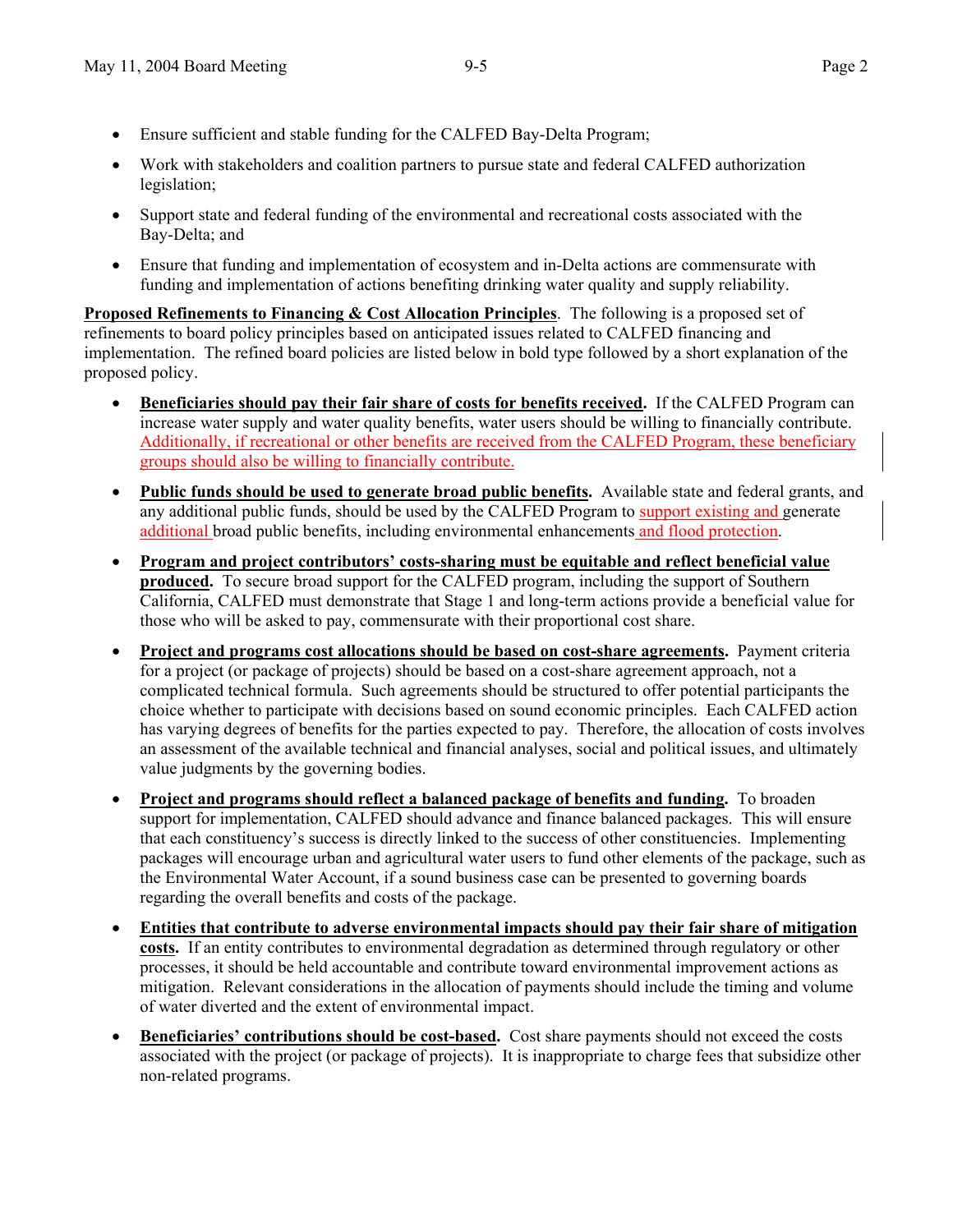- Ensure sufficient and stable funding for the CALFED Bay-Delta Program;
- Work with stakeholders and coalition partners to pursue state and federal CALFED authorization legislation;
- Support state and federal funding of the environmental and recreational costs associated with the Bay-Delta; and
- Ensure that funding and implementation of ecosystem and in-Delta actions are commensurate with funding and implementation of actions benefiting drinking water quality and supply reliability.

**Proposed Refinements to Financing & Cost Allocation Principles**. The following is a proposed set of refinements to board policy principles based on anticipated issues related to CALFED financing and implementation. The refined board policies are listed below in bold type followed by a short explanation of the proposed policy.

- **Beneficiaries should pay their fair share of costs for benefits received.** If the CALFED Program can increase water supply and water quality benefits, water users should be willing to financially contribute. Additionally, if recreational or other benefits are received from the CALFED Program, these beneficiary groups should also be willing to financially contribute.
- **Public funds should be used to generate broad public benefits.** Available state and federal grants, and any additional public funds, should be used by the CALFED Program to support existing and generate additional broad public benefits, including environmental enhancements and flood protection.
- **Program and project contributors' costs-sharing must be equitable and reflect beneficial value produced.** To secure broad support for the CALFED program, including the support of Southern California, CALFED must demonstrate that Stage 1 and long-term actions provide a beneficial value for those who will be asked to pay, commensurate with their proportional cost share.
- **Project and programs cost allocations should be based on cost-share agreements.** Payment criteria for a project (or package of projects) should be based on a cost-share agreement approach, not a complicated technical formula. Such agreements should be structured to offer potential participants the choice whether to participate with decisions based on sound economic principles. Each CALFED action has varying degrees of benefits for the parties expected to pay. Therefore, the allocation of costs involves an assessment of the available technical and financial analyses, social and political issues, and ultimately value judgments by the governing bodies.
- **Project and programs should reflect a balanced package of benefits and funding.** To broaden support for implementation, CALFED should advance and finance balanced packages. This will ensure that each constituency's success is directly linked to the success of other constituencies. Implementing packages will encourage urban and agricultural water users to fund other elements of the package, such as the Environmental Water Account, if a sound business case can be presented to governing boards regarding the overall benefits and costs of the package.
- **Entities that contribute to adverse environmental impacts should pay their fair share of mitigation costs.** If an entity contributes to environmental degradation as determined through regulatory or other processes, it should be held accountable and contribute toward environmental improvement actions as mitigation. Relevant considerations in the allocation of payments should include the timing and volume of water diverted and the extent of environmental impact.
- **Beneficiaries' contributions should be cost-based.** Cost share payments should not exceed the costs associated with the project (or package of projects). It is inappropriate to charge fees that subsidize other non-related programs.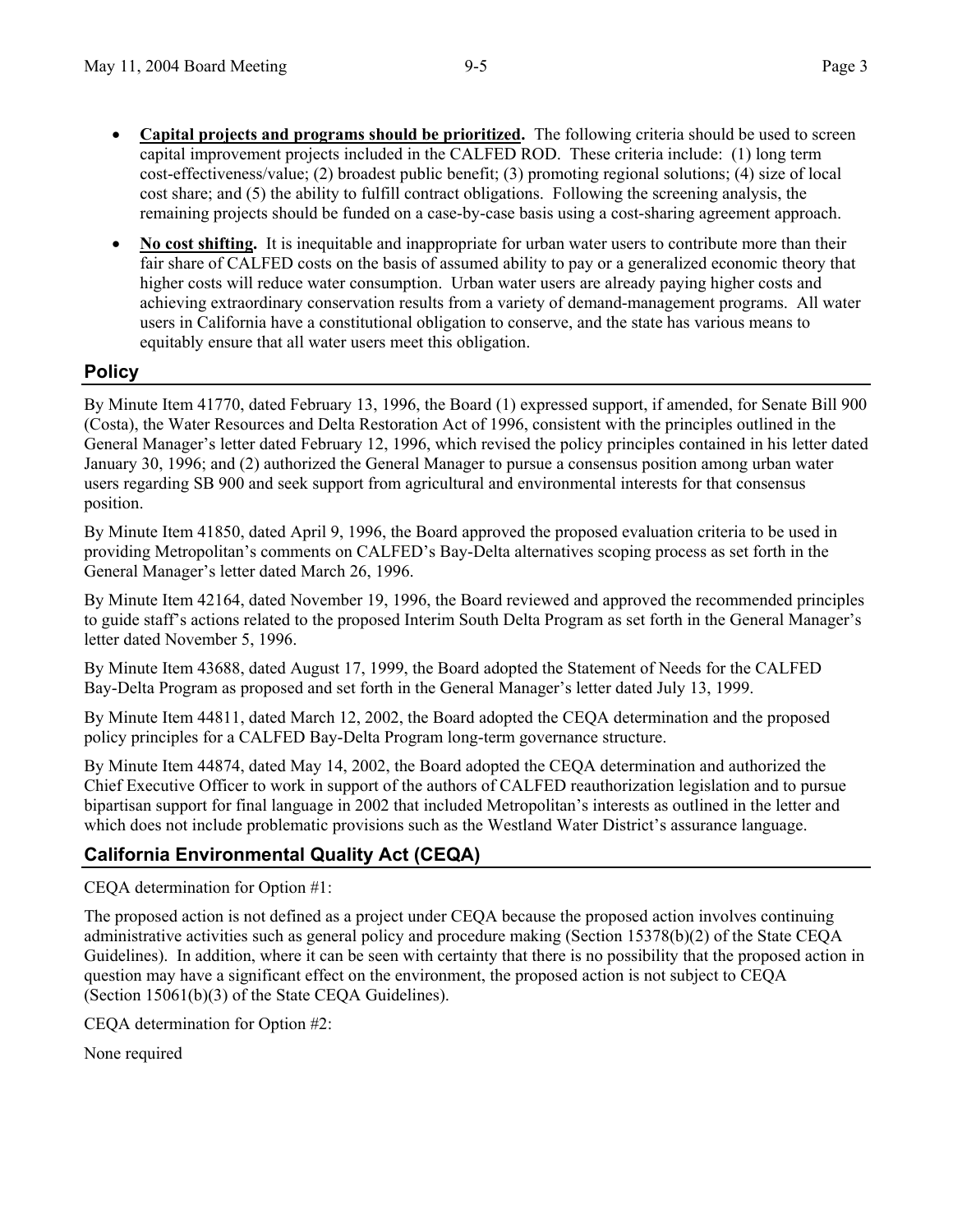- **Capital projects and programs should be prioritized.** The following criteria should be used to screen capital improvement projects included in the CALFED ROD. These criteria include: (1) long term cost-effectiveness/value; (2) broadest public benefit; (3) promoting regional solutions; (4) size of local cost share; and (5) the ability to fulfill contract obligations. Following the screening analysis, the remaining projects should be funded on a case-by-case basis using a cost-sharing agreement approach.
- **No cost shifting.** It is inequitable and inappropriate for urban water users to contribute more than their fair share of CALFED costs on the basis of assumed ability to pay or a generalized economic theory that higher costs will reduce water consumption. Urban water users are already paying higher costs and achieving extraordinary conservation results from a variety of demand-management programs. All water users in California have a constitutional obligation to conserve, and the state has various means to equitably ensure that all water users meet this obligation.

## **Policy**

By Minute Item 41770, dated February 13, 1996, the Board (1) expressed support, if amended, for Senate Bill 900 (Costa), the Water Resources and Delta Restoration Act of 1996, consistent with the principles outlined in the General Manager's letter dated February 12, 1996, which revised the policy principles contained in his letter dated January 30, 1996; and (2) authorized the General Manager to pursue a consensus position among urban water users regarding SB 900 and seek support from agricultural and environmental interests for that consensus position.

By Minute Item 41850, dated April 9, 1996, the Board approved the proposed evaluation criteria to be used in providing Metropolitan's comments on CALFED's Bay-Delta alternatives scoping process as set forth in the General Manager's letter dated March 26, 1996.

By Minute Item 42164, dated November 19, 1996, the Board reviewed and approved the recommended principles to guide staff's actions related to the proposed Interim South Delta Program as set forth in the General Manager's letter dated November 5, 1996.

By Minute Item 43688, dated August 17, 1999, the Board adopted the Statement of Needs for the CALFED Bay-Delta Program as proposed and set forth in the General Manager's letter dated July 13, 1999.

By Minute Item 44811, dated March 12, 2002, the Board adopted the CEQA determination and the proposed policy principles for a CALFED Bay-Delta Program long-term governance structure.

By Minute Item 44874, dated May 14, 2002, the Board adopted the CEQA determination and authorized the Chief Executive Officer to work in support of the authors of CALFED reauthorization legislation and to pursue bipartisan support for final language in 2002 that included Metropolitan's interests as outlined in the letter and which does not include problematic provisions such as the Westland Water District's assurance language.

## **California Environmental Quality Act (CEQA)**

CEQA determination for Option #1:

The proposed action is not defined as a project under CEQA because the proposed action involves continuing administrative activities such as general policy and procedure making (Section 15378(b)(2) of the State CEQA Guidelines). In addition, where it can be seen with certainty that there is no possibility that the proposed action in question may have a significant effect on the environment, the proposed action is not subject to CEQA (Section 15061(b)(3) of the State CEQA Guidelines).

CEQA determination for Option #2:

None required